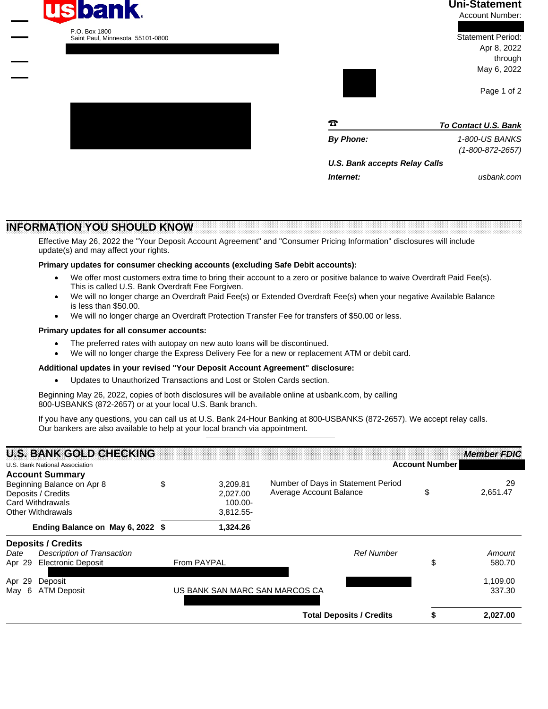

## **Uni-Statement**

Account Number:

 Statement Period: Apr 8, 2022 through May 6, 2022

Page 1 of 2

usbank.com

1010101010101010101010 1011100011000100011111 1010000000001001011010 1001110101000001100111 1101111000101100101100 1100111011000000011011 1001101110010110111110 1001000000010011101011 1100111010000000110000 1100100001101010001111 1010101000111010100010 1111010110100101100101 1010110100111001001000 1011010010000000111001 1010011011011111010000 1111011011000011001101 1101110001101010011000 1100110101011111101011 1111010111000111111110 1111000100000011011111 1110100001110000011010 1111111111111111111111

**Internet:**

| $\boldsymbol{\pi}$            | <b>To Contact U.S. Bank</b>                |
|-------------------------------|--------------------------------------------|
| <b>By Phone:</b>              | 1-800-US BANKS<br>$(1 - 800 - 872 - 2657)$ |
| U.S. Bank accepts Relay Calls |                                            |

**INFORMATION YOU SHOULD KNOW**

Effective May 26, 2022 the "Your Deposit Account Agreement" and "Consumer Pricing Information" disclosures will include update(s) and may affect your rights.

### **Primary updates for consumer checking accounts (excluding Safe Debit accounts):**

FDAFFTDAFADAADFTAAAADTADDAAFAFTAFFDTDTTFFDTDTTFTFFATTTFFTAFADAFAD

- We offer most customers extra time to bring their account to a zero or positive balance to waive Overdraft Paid Fee(s). This is called U.S. Bank Overdraft Fee Forgiven. ·
- We will no longer charge an Overdraft Paid Fee(s) or Extended Overdraft Fee(s) when your negative Available Balance is less than \$50.00. ·
- We will no longer charge an Overdraft Protection Transfer Fee for transfers of \$50.00 or less. ·

#### **Primary updates for all consumer accounts:**

- The preferred rates with autopay on new auto loans will be discontinued. ·
- We will no longer charge the Express Delivery Fee for a new or replacement ATM or debit card. ·

#### **Additional updates in your revised "Your Deposit Account Agreement" disclosure:**

Updates to Unauthorized Transactions and Lost or Stolen Cards section. ·

Beginning May 26, 2022, copies of both disclosures will be available online at usbank.com, by calling 800-USBANKS (872-2657) or at your local U.S. Bank branch.

If you have any questions, you can call us at U.S. Bank 24-Hour Banking at 800-USBANKS (872-2657). We accept relay calls. Our bankers are also available to help at your local branch via appointment.

|                            | <b>U.S. BANK GOLD CHECKING</b>   |                                |                                    |                       | <b>Member FDIC</b> |
|----------------------------|----------------------------------|--------------------------------|------------------------------------|-----------------------|--------------------|
|                            | U.S. Bank National Association   |                                |                                    | <b>Account Number</b> |                    |
|                            | <b>Account Summary</b>           |                                |                                    |                       |                    |
| Beginning Balance on Apr 8 |                                  | \$<br>3,209.81                 | Number of Days in Statement Period | 29                    |                    |
| Deposits / Credits         |                                  | 2.027.00                       | Average Account Balance            | \$                    | 2,651.47           |
|                            | <b>Card Withdrawals</b>          | $100.00 -$                     |                                    |                       |                    |
|                            | <b>Other Withdrawals</b>         | 3,812.55-                      |                                    |                       |                    |
|                            | Ending Balance on May 6, 2022 \$ | 1,324.26                       |                                    |                       |                    |
|                            | <b>Deposits / Credits</b>        |                                |                                    |                       |                    |
| Date                       | Description of Transaction       |                                | <b>Ref Number</b>                  |                       | Amount             |
| Apr 29                     | <b>Electronic Deposit</b>        | From PAYPAL                    |                                    | \$                    | 580.70             |
| Apr 29                     | Deposit                          |                                |                                    |                       | 1,109.00           |
| May 6                      | ATM Deposit                      | US BANK SAN MARC SAN MARCOS CA |                                    |                       | 337.30             |
|                            |                                  |                                | <b>Total Deposits / Credits</b>    | S                     | 2.027.00           |